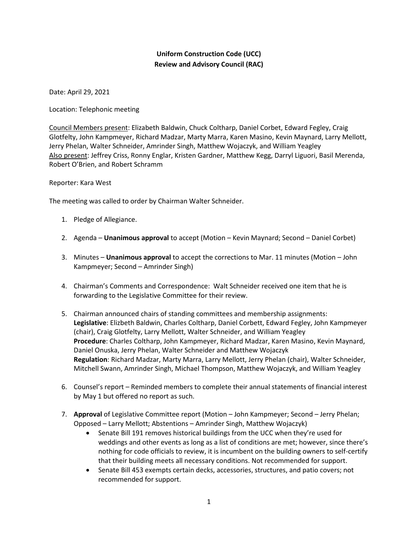## **Uniform Construction Code (UCC) Review and Advisory Council (RAC)**

Date: April 29, 2021

Location: Telephonic meeting

Council Members present: Elizabeth Baldwin, Chuck Coltharp, Daniel Corbet, Edward Fegley, Craig Glotfelty, John Kampmeyer, Richard Madzar, Marty Marra, Karen Masino, Kevin Maynard, Larry Mellott, Jerry Phelan, Walter Schneider, Amrinder Singh, Matthew Wojaczyk, and William Yeagley Also present: Jeffrey Criss, Ronny Englar, Kristen Gardner, Matthew Kegg, Darryl Liguori, Basil Merenda, Robert O'Brien, and Robert Schramm

## Reporter: Kara West

The meeting was called to order by Chairman Walter Schneider.

- 1. Pledge of Allegiance.
- 2. Agenda **Unanimous approval** to accept (Motion Kevin Maynard; Second Daniel Corbet)
- 3. Minutes **Unanimous approval** to accept the corrections to Mar. 11 minutes (Motion John Kampmeyer; Second – Amrinder Singh)
- 4. Chairman's Comments and Correspondence: Walt Schneider received one item that he is forwarding to the Legislative Committee for their review.
- 5. Chairman announced chairs of standing committees and membership assignments: **Legislative**: Elizbeth Baldwin, Charles Coltharp, Daniel Corbett, Edward Fegley, John Kampmeyer (chair), Craig Glotfelty, Larry Mellott, Walter Schneider, and William Yeagley **Procedure**: Charles Coltharp, John Kampmeyer, Richard Madzar, Karen Masino, Kevin Maynard, Daniel Onuska, Jerry Phelan, Walter Schneider and Matthew Wojaczyk **Regulation**: Richard Madzar, Marty Marra, Larry Mellott, Jerry Phelan (chair), Walter Schneider, Mitchell Swann, Amrinder Singh, Michael Thompson, Matthew Wojaczyk, and William Yeagley
- 6. Counsel's report Reminded members to complete their annual statements of financial interest by May 1 but offered no report as such.
- 7. **Approval** of Legislative Committee report (Motion John Kampmeyer; Second Jerry Phelan; Opposed – Larry Mellott; Abstentions – Amrinder Singh, Matthew Wojaczyk)
	- Senate Bill 191 removes historical buildings from the UCC when they're used for weddings and other events as long as a list of conditions are met; however, since there's nothing for code officials to review, it is incumbent on the building owners to self-certify that their building meets all necessary conditions. Not recommended for support.
	- Senate Bill 453 exempts certain decks, accessories, structures, and patio covers; not recommended for support.